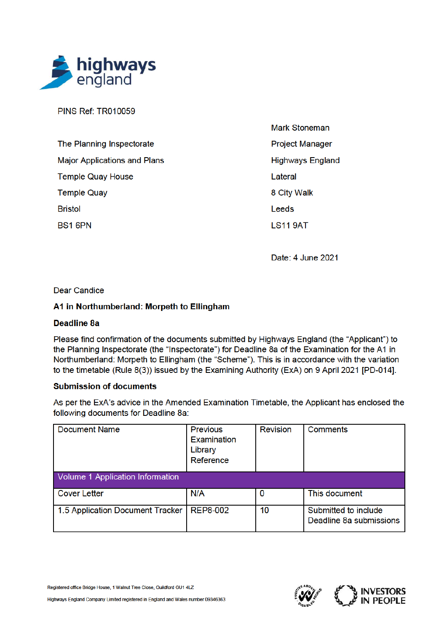

**PINS Ref: TR010059** 

| The Planning Inspectorate           |
|-------------------------------------|
| <b>Major Applications and Plans</b> |
| <b>Temple Quay House</b>            |
| <b>Temple Quay</b>                  |
| Bristol                             |
| BS1 6PN                             |

**Mark Stoneman Project Manager Highways England** Lateral 8 City Walk Leeds **LS11 9AT** 

Date: 4 June 2021

## **Dear Candice**

# A1 in Northumberland: Morpeth to Ellingham

## **Deadline 8a**

Please find confirmation of the documents submitted by Highways England (the "Applicant") to the Planning Inspectorate (the "Inspectorate") for Deadline 8a of the Examination for the A1 in Northumberland: Morpeth to Ellingham (the "Scheme"). This is in accordance with the variation to the timetable (Rule 8(3)) issued by the Examining Authority (ExA) on 9 April 2021 [PD-014].

## **Submission of documents**

As per the ExA's advice in the Amended Examination Timetable, the Applicant has enclosed the following documents for Deadline 8a:

| <b>Document Name</b>             | <b>Previous</b><br><b>Examination</b><br>Library<br>Reference | <b>Revision</b> | <b>Comments</b>                                 |  |
|----------------------------------|---------------------------------------------------------------|-----------------|-------------------------------------------------|--|
| Volume 1 Application Information |                                                               |                 |                                                 |  |
| <b>Cover Letter</b>              | N/A                                                           | 0               | This document                                   |  |
| 1.5 Application Document Tracker | <b>REP8-002</b>                                               | 10              | Submitted to include<br>Deadline 8a submissions |  |

Registered office Bridge House, 1 Walnut Tree Close, Guildford GU1 4LZ

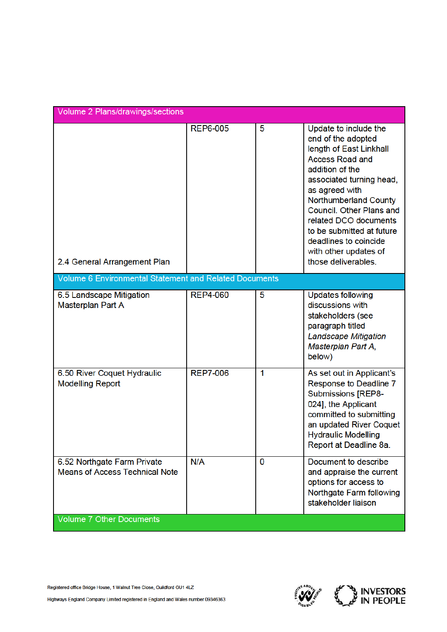| Volume 2 Plans/drawings/sections                                     |                 |   |                                                                                                                                                                                                                                                                                                                                                              |  |
|----------------------------------------------------------------------|-----------------|---|--------------------------------------------------------------------------------------------------------------------------------------------------------------------------------------------------------------------------------------------------------------------------------------------------------------------------------------------------------------|--|
| 2.4 General Arrangement Plan                                         | <b>REP6-005</b> | 5 | Update to include the<br>end of the adopted<br>length of East Linkhall<br><b>Access Road and</b><br>addition of the<br>associated turning head,<br>as agreed with<br><b>Northumberland County</b><br>Council. Other Plans and<br>related DCO documents<br>to be submitted at future<br>deadlines to coincide<br>with other updates of<br>those deliverables. |  |
| Volume 6 Environmental Statement and Related Documents               |                 |   |                                                                                                                                                                                                                                                                                                                                                              |  |
| 6.5 Landscape Mitigation<br><b>Masterplan Part A</b>                 | <b>REP4-060</b> | 5 | <b>Updates following</b><br>discussions with<br>stakeholders (see<br>paragraph titled<br><b>Landscape Mitigation</b><br>Masterplan Part A,<br>below)                                                                                                                                                                                                         |  |
| 6.50 River Coquet Hydraulic<br><b>Modelling Report</b>               | <b>REP7-006</b> | 1 | As set out in Applicant's<br>Response to Deadline 7<br><b>Submissions [REP8-</b><br>024], the Applicant<br>committed to submitting<br>an updated River Coquet<br><b>Hydraulic Modelling</b><br>Report at Deadline 8a.                                                                                                                                        |  |
| 6.52 Northgate Farm Private<br><b>Means of Access Technical Note</b> | N/A             | 0 | Document to describe<br>and appraise the current<br>options for access to<br>Northgate Farm following<br>stakeholder liaison                                                                                                                                                                                                                                 |  |
| <b>Volume 7 Other Documents</b>                                      |                 |   |                                                                                                                                                                                                                                                                                                                                                              |  |

Registered office Bridge House, 1 Walnut Tree Close, Guildford GU1 4LZ

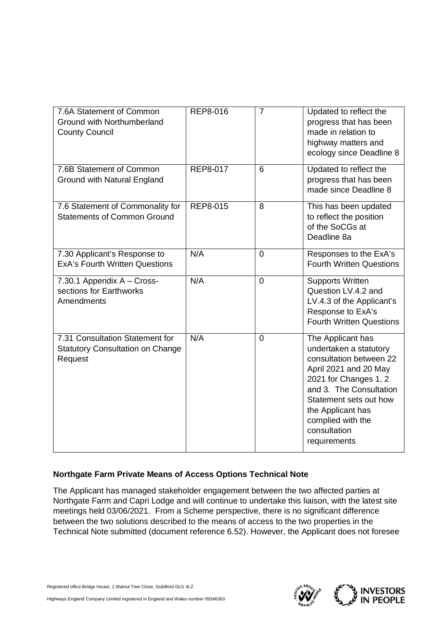| 7.6A Statement of Common<br><b>Ground with Northumberland</b><br><b>County Council</b> | REP8-016        | $\overline{7}$ | Updated to reflect the<br>progress that has been<br>made in relation to<br>highway matters and<br>ecology since Deadline 8                                                                                                                              |
|----------------------------------------------------------------------------------------|-----------------|----------------|---------------------------------------------------------------------------------------------------------------------------------------------------------------------------------------------------------------------------------------------------------|
| 7.6B Statement of Common<br>Ground with Natural England                                | <b>REP8-017</b> | 6              | Updated to reflect the<br>progress that has been<br>made since Deadline 8                                                                                                                                                                               |
| 7.6 Statement of Commonality for<br><b>Statements of Common Ground</b>                 | REP8-015        | 8              | This has been updated<br>to reflect the position<br>of the SoCGs at<br>Deadline 8a                                                                                                                                                                      |
| 7.30 Applicant's Response to<br><b>ExA's Fourth Written Questions</b>                  | N/A             | $\mathbf 0$    | Responses to the ExA's<br><b>Fourth Written Questions</b>                                                                                                                                                                                               |
| 7.30.1 Appendix A - Cross-<br>sections for Earthworks<br>Amendments                    | N/A             | $\overline{0}$ | <b>Supports Written</b><br>Question LV.4.2 and<br>LV.4.3 of the Applicant's<br>Response to ExA's<br><b>Fourth Written Questions</b>                                                                                                                     |
| 7.31 Consultation Statement for<br><b>Statutory Consultation on Change</b><br>Request  | N/A             | $\Omega$       | The Applicant has<br>undertaken a statutory<br>consultation between 22<br>April 2021 and 20 May<br>2021 for Changes 1, 2<br>and 3. The Consultation<br>Statement sets out how<br>the Applicant has<br>complied with the<br>consultation<br>requirements |

## **Northgate Farm Private Means of Access Options Technical Note**

The Applicant has managed stakeholder engagement between the two affected parties at Northgate Farm and Capri Lodge and will continue to undertake this liaison, with the latest site meetings held 03/06/2021. From a Scheme perspective, there is no significant difference between the two solutions described to the means of access to the two properties in the Technical Note submitted (document reference 6.52). However, the Applicant does not foresee

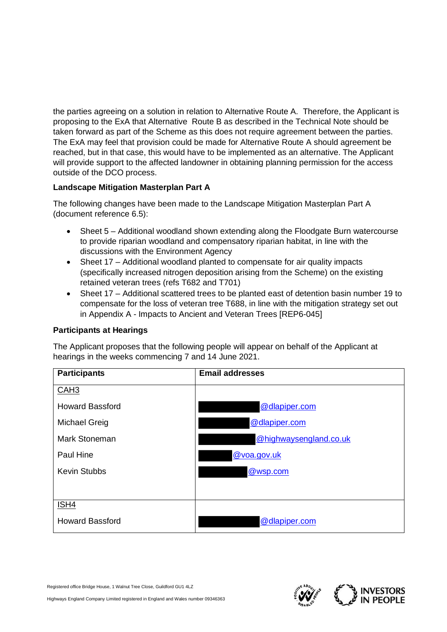the parties agreeing on a solution in relation to Alternative Route A. Therefore, the Applicant is proposing to the ExA that Alternative Route B as described in the Technical Note should be taken forward as part of the Scheme as this does not require agreement between the parties. The ExA may feel that provision could be made for Alternative Route A should agreement be reached, but in that case, this would have to be implemented as an alternative. The Applicant will provide support to the affected landowner in obtaining planning permission for the access outside of the DCO process.

# **Landscape Mitigation Masterplan Part A**

The following changes have been made to the Landscape Mitigation Masterplan Part A (document reference 6.5):

- Sheet 5 Additional woodland shown extending along the Floodgate Burn watercourse to provide riparian woodland and compensatory riparian habitat, in line with the discussions with the Environment Agency
- · Sheet 17 Additional woodland planted to compensate for air quality impacts (specifically increased nitrogen deposition arising from the Scheme) on the existing retained veteran trees (refs T682 and T701)
- · Sheet 17 Additional scattered trees to be planted east of detention basin number 19 to compensate for the loss of veteran tree T688, in line with the mitigation strategy set out in Appendix A - Impacts to Ancient and Veteran Trees [REP6-045]

## **Participants at Hearings**

The Applicant proposes that the following people will appear on behalf of the Applicant at hearings in the weeks commencing 7 and 14 June 2021.

| <b>Participants</b>    | <b>Email addresses</b> |
|------------------------|------------------------|
| CAH <sub>3</sub>       |                        |
| <b>Howard Bassford</b> | @dlapiper.com          |
| Michael Greig          | @dlapiper.com          |
| Mark Stoneman          | @highwaysengland.co.uk |
| Paul Hine              | @voa.gov.uk            |
| <b>Kevin Stubbs</b>    | @wsp.com               |
|                        |                        |
| ISH4                   |                        |
| <b>Howard Bassford</b> | @dlapiper.com          |

Registered office Bridge House, 1 Walnut Tree Close, Guildford GU1 4LZ

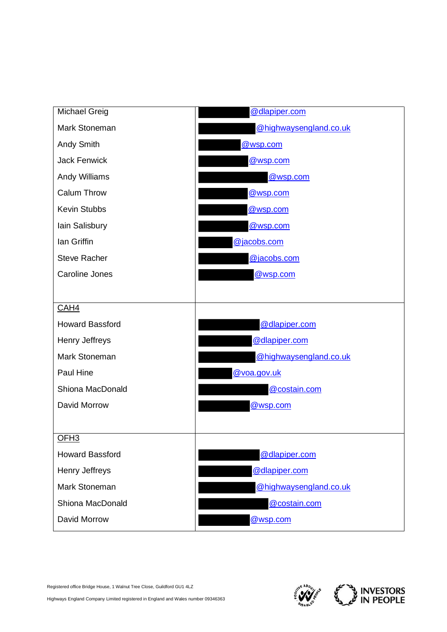

Registered office Bridge House, 1 Walnut Tree Close, Guildford GU1 4LZ